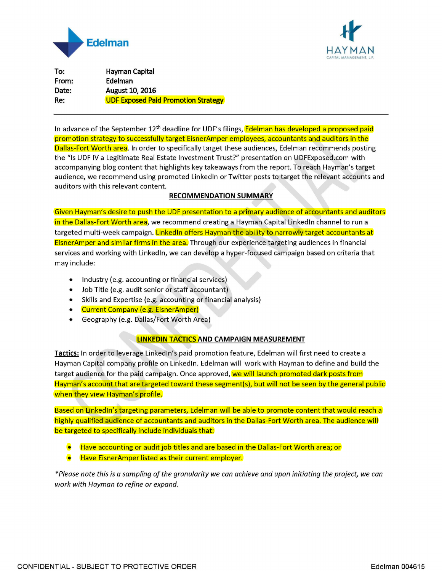



**To: From: Date: Re: Hayman Capital Edelman August 10, 2016 UDF Exposed Paid Promotion Strategy** 

In advance of the September 12<sup>th</sup> deadline for UDF's filings, **Edelman has developed a proposed paid** promotion strategy to successfully target EisnerAmper employees, accountants and auditors in the **Dallas-Fort Worth area.** In order to specifically target these audiences, Edelman recommends posting the "Is UDF IV a Legitimate Real Estate Investment Trust?" presentation on UDFExposed.com with accompanying blog content that highlights key takeaways from the report. To reach Hayman's target audience, we recommend using promoted Linked In or Twitter posts to target the relevant accounts and auditors with this relevant content.

## **RECOMMENDATION SUMMARY**

Given Hayman's desire to push the UDF presentation to a primary audience of accountants and auditors in the Dallas-Fort Worth area, we recommend creating a Hayman Capital Linked In channel to run a targeted multi-week campaign. Linked In offers Hayman the ability to narrowly target accountants at Eisner Amper and similar firms in the area. Through our experience targeting audiences in financial services and working with Linked In, we can develop a hyper-focused campaign based on criteria that may include:

- Industry (e.g. accounting or financial services)
- Job Title (e.g. audit senior or staff accountant)
- Skills and Expertise (e.g. accounting or financial analysis)
- Current Company (e.g. EisnerAmper)
- Geography (e.g. Dallas/Fort Worth Area)

## **LINKEDIN TACTICS AND CAMPAIGN MEASUREMENT**

Tactics: In order to leverage LinkedIn's paid promotion feature, Edelman will first need to create a Hayman Capital company profile on Linked In. Edelman will work with Hayman to define and build the target audience for the paid campaign. Once approved, we will launch promoted dark posts from Hayman's account that are targeted toward these segment(s), but will not be seen by the general public when they view Hayman's profile.

Based on Linked In's targeting parameters, Edelman will be able to promote content that would reach a highly qualified audience of accountants and auditors in the Dallas-Fort Worth area. The audience will be targeted to specifically include individuals that:

- Have accounting or audit job titles and are based in the Dallas-Fort Worth area; or
- Have EisnerAmper listed as their current employer.

*\*Please note this is a sampling of the granularity we can achieve and upon initiating the project, we can work with Hayman to refine or expand.*